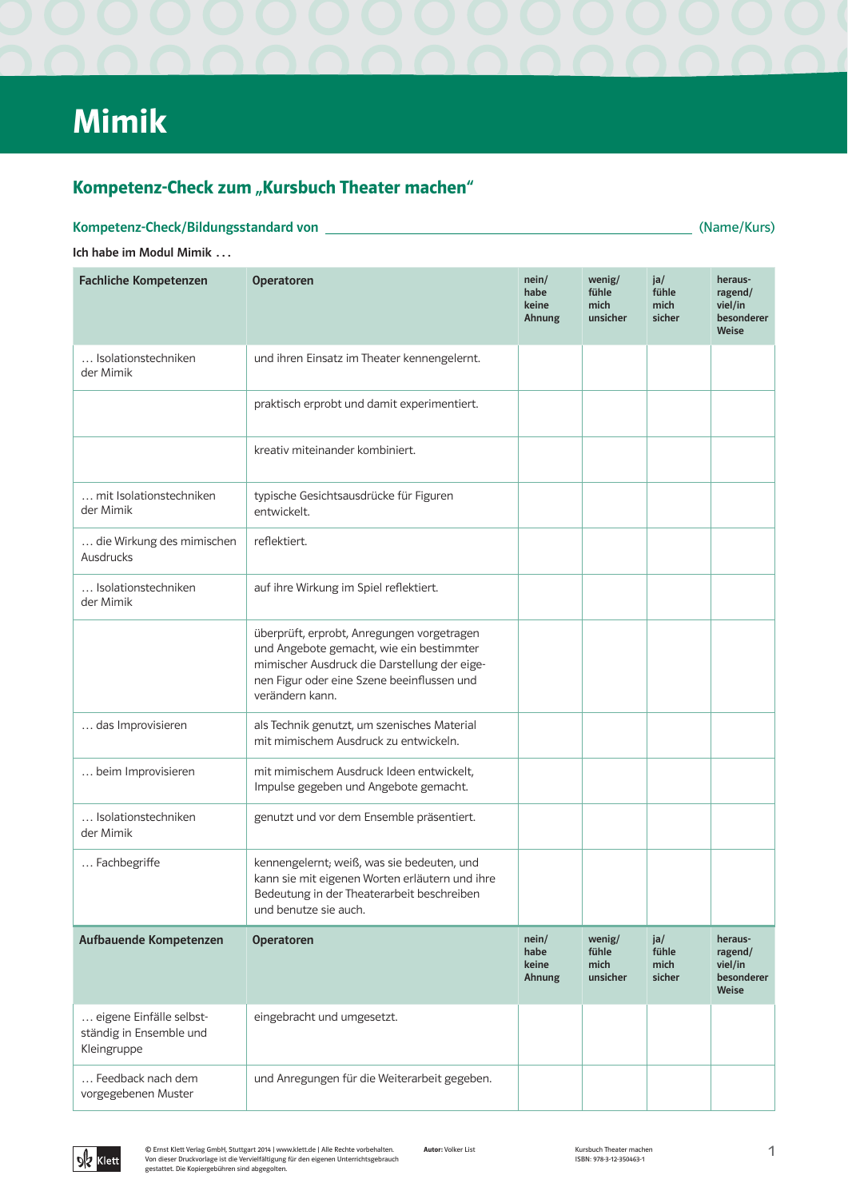# Mimik

## Kompetenz-Check zum "Kursbuch Theater machen"

(Name/Kurs)

## Ich habe im Modul Mimik ...

Kompetenz-Check/Bildungsstandard von

| <b>Fachliche Kompetenzen</b>                                      | <b>Operatoren</b>                                                                                                                                                                                       | nein/<br>habe<br>keine<br>Ahnung | wenig/<br>fühle<br>mich<br>unsicher | ja/<br>fühle<br>mich<br>sicher | heraus-<br>ragend/<br>viel/in<br>besonderer<br>Weise |
|-------------------------------------------------------------------|---------------------------------------------------------------------------------------------------------------------------------------------------------------------------------------------------------|----------------------------------|-------------------------------------|--------------------------------|------------------------------------------------------|
| Isolationstechniken<br>der Mimik                                  | und ihren Einsatz im Theater kennengelernt.                                                                                                                                                             |                                  |                                     |                                |                                                      |
|                                                                   | praktisch erprobt und damit experimentiert.                                                                                                                                                             |                                  |                                     |                                |                                                      |
|                                                                   | kreativ miteinander kombiniert.                                                                                                                                                                         |                                  |                                     |                                |                                                      |
| mit Isolationstechniken<br>der Mimik                              | typische Gesichtsausdrücke für Figuren<br>entwickelt.                                                                                                                                                   |                                  |                                     |                                |                                                      |
| die Wirkung des mimischen<br>Ausdrucks                            | reflektiert.                                                                                                                                                                                            |                                  |                                     |                                |                                                      |
| Isolationstechniken<br>der Mimik                                  | auf ihre Wirkung im Spiel reflektiert.                                                                                                                                                                  |                                  |                                     |                                |                                                      |
|                                                                   | überprüft, erprobt, Anregungen vorgetragen<br>und Angebote gemacht, wie ein bestimmter<br>mimischer Ausdruck die Darstellung der eige-<br>nen Figur oder eine Szene beeinflussen und<br>verändern kann. |                                  |                                     |                                |                                                      |
| das Improvisieren                                                 | als Technik genutzt, um szenisches Material<br>mit mimischem Ausdruck zu entwickeln.                                                                                                                    |                                  |                                     |                                |                                                      |
| beim Improvisieren                                                | mit mimischem Ausdruck Ideen entwickelt,<br>Impulse gegeben und Angebote gemacht.                                                                                                                       |                                  |                                     |                                |                                                      |
| Isolationstechniken<br>der Mimik                                  | genutzt und vor dem Ensemble präsentiert.                                                                                                                                                               |                                  |                                     |                                |                                                      |
| Fachbegriffe                                                      | kennengelernt; weiß, was sie bedeuten, und<br>kann sie mit eigenen Worten erläutern und ihre<br>Bedeutung in der Theaterarbeit beschreiben<br>und benutze sie auch.                                     |                                  |                                     |                                |                                                      |
| Aufbauende Kompetenzen                                            | <b>Operatoren</b>                                                                                                                                                                                       | nein/<br>habe<br>keine<br>Ahnung | wenig/<br>fühle<br>mich<br>unsicher | ja/<br>fühle<br>mich<br>sicher | heraus-<br>ragend/<br>viel/in<br>besonderer<br>Weise |
| eigene Einfälle selbst-<br>ständig in Ensemble und<br>Kleingruppe | eingebracht und umgesetzt.                                                                                                                                                                              |                                  |                                     |                                |                                                      |
| Feedback nach dem<br>vorgegebenen Muster                          | und Anregungen für die Weiterarbeit gegeben.                                                                                                                                                            |                                  |                                     |                                |                                                      |